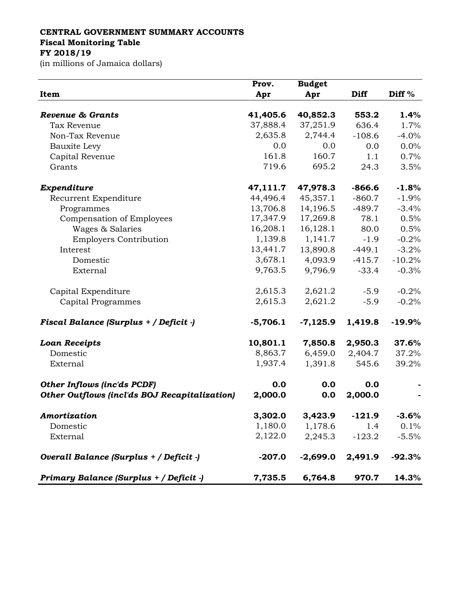## **CENTRAL GOVERNMENT SUMMARY ACCOUNTS Fiscal Monitoring Table**

**FY 2018/19**

(in millions of Jamaica dollars)

|                                               | Prov.      | <b>Budget</b> |             |                   |
|-----------------------------------------------|------------|---------------|-------------|-------------------|
| Item                                          | Apr        | Apr           | <b>Diff</b> | Diff <sup>%</sup> |
| <b>Revenue &amp; Grants</b>                   | 41,405.6   | 40,852.3      | 553.2       | 1.4%              |
| Tax Revenue                                   | 37,888.4   | 37,251.9      | 636.4       | 1.7%              |
| Non-Tax Revenue                               | 2,635.8    | 2,744.4       | $-108.6$    | $-4.0%$           |
| Bauxite Levy                                  | 0.0        | 0.0           | 0.0         | 0.0%              |
| Capital Revenue                               | 161.8      | 160.7         | 1.1         | 0.7%              |
| Grants                                        | 719.6      | 695.2         | 24.3        | 3.5%              |
|                                               |            |               |             |                   |
| Expenditure                                   | 47,111.7   | 47,978.3      | $-866.6$    | $-1.8%$           |
| Recurrent Expenditure                         | 44,496.4   | 45,357.1      | $-860.7$    | $-1.9%$           |
| Programmes                                    | 13,706.8   | 14,196.5      | $-489.7$    | $-3.4%$           |
| Compensation of Employees                     | 17,347.9   | 17,269.8      | 78.1        | 0.5%              |
| Wages & Salaries                              | 16,208.1   | 16,128.1      | 80.0        | 0.5%              |
| <b>Employers Contribution</b>                 | 1,139.8    | 1,141.7       | $-1.9$      | $-0.2%$           |
| Interest                                      | 13,441.7   | 13,890.8      | $-449.1$    | $-3.2%$           |
| Domestic                                      | 3,678.1    | 4,093.9       | $-415.7$    | $-10.2%$          |
| External                                      | 9,763.5    | 9,796.9       | $-33.4$     | $-0.3%$           |
| Capital Expenditure                           | 2,615.3    | 2,621.2       | $-5.9$      | $-0.2%$           |
| Capital Programmes                            | 2,615.3    | 2,621.2       | $-5.9$      | $-0.2%$           |
| Fiscal Balance (Surplus + / Deficit -)        | $-5,706.1$ | $-7,125.9$    | 1,419.8     | $-19.9%$          |
| <b>Loan Receipts</b>                          | 10,801.1   | 7,850.8       | 2,950.3     | 37.6%             |
| Domestic                                      | 8,863.7    | 6,459.0       | 2,404.7     | 37.2%             |
| External                                      | 1,937.4    | 1,391.8       | 545.6       | 39.2%             |
| <b>Other Inflows (inc'ds PCDF)</b>            | 0.0        | 0.0           | 0.0         |                   |
| Other Outflows (incl'ds BOJ Recapitalization) | 2,000.0    | 0.0           | 2,000.0     |                   |
| Amortization                                  | 3,302.0    | 3,423.9       | $-121.9$    | $-3.6\%$          |
| Domestic                                      | 1,180.0    | 1,178.6       | 1.4         | 0.1%              |
| External                                      | 2,122.0    | 2,245.3       | $-123.2$    | $-5.5%$           |
| Overall Balance (Surplus + / Deficit -)       | $-207.0$   | $-2,699.0$    | 2,491.9     | $-92.3%$          |
| Primary Balance (Surplus + / Deficit -)       | 7,735.5    | 6,764.8       | 970.7       | 14.3%             |